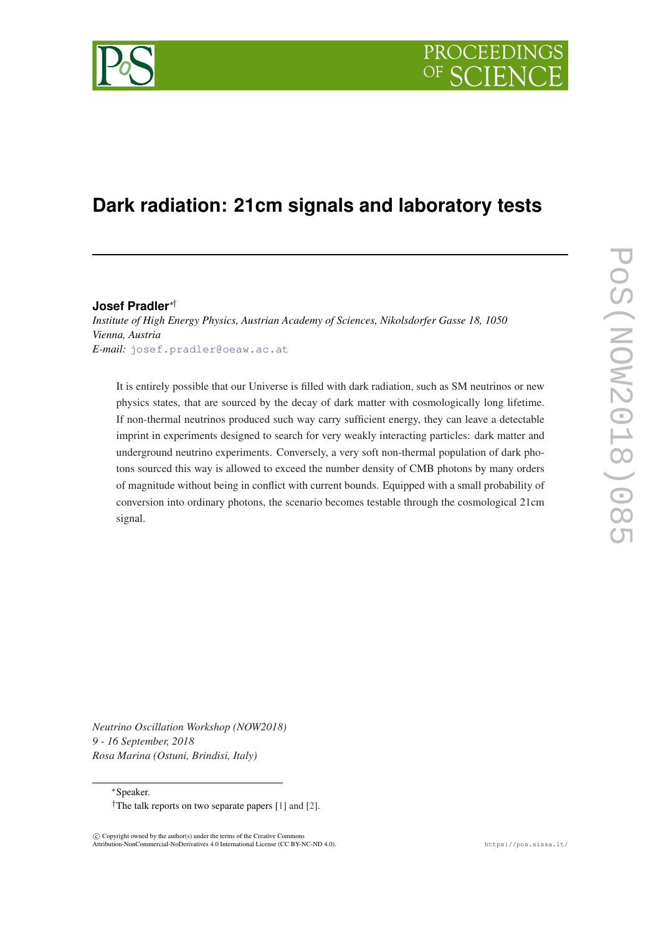# PROCEEDIN

## **Dark radiation: 21cm signals and laboratory tests**

**Josef Pradler**∗† *Institute of High Energy Physics, Austrian Academy of Sciences, Nikolsdorfer Gasse 18, 1050 Vienna, Austria E-mail:* [josef.pradler@oeaw.ac.at](mailto:josef.pradler@oeaw.ac.at)

It is entirely possible that our Universe is filled with dark radiation, such as SM neutrinos or new physics states, that are sourced by the decay of dark matter with cosmologically long lifetime. If non-thermal neutrinos produced such way carry sufficient energy, they can leave a detectable imprint in experiments designed to search for very weakly interacting particles: dark matter and underground neutrino experiments. Conversely, a very soft non-thermal population of dark photons sourced this way is allowed to exceed the number density of CMB photons by many orders of magnitude without being in conflict with current bounds. Equipped with a small probability of conversion into ordinary photons, the scenario becomes testable through the cosmological 21cm signal.

*Neutrino Oscillation Workshop (NOW2018) 9 - 16 September, 2018 Rosa Marina (Ostuni, Brindisi, Italy)*

<sup>∗</sup>Speaker.

 $\overline{c}$  Copyright owned by the author(s) under the terms of the Creative Commons Attribution-NonCommercial-NoDerivatives 4.0 International License (CC BY-NC-ND 4.0). https://pos.sissa.it/

<sup>&</sup>lt;sup>†</sup>The talk reports on two separate papers  $[1]$  $[1]$  $[1]$  and  $[2]$  $[2]$  $[2]$ .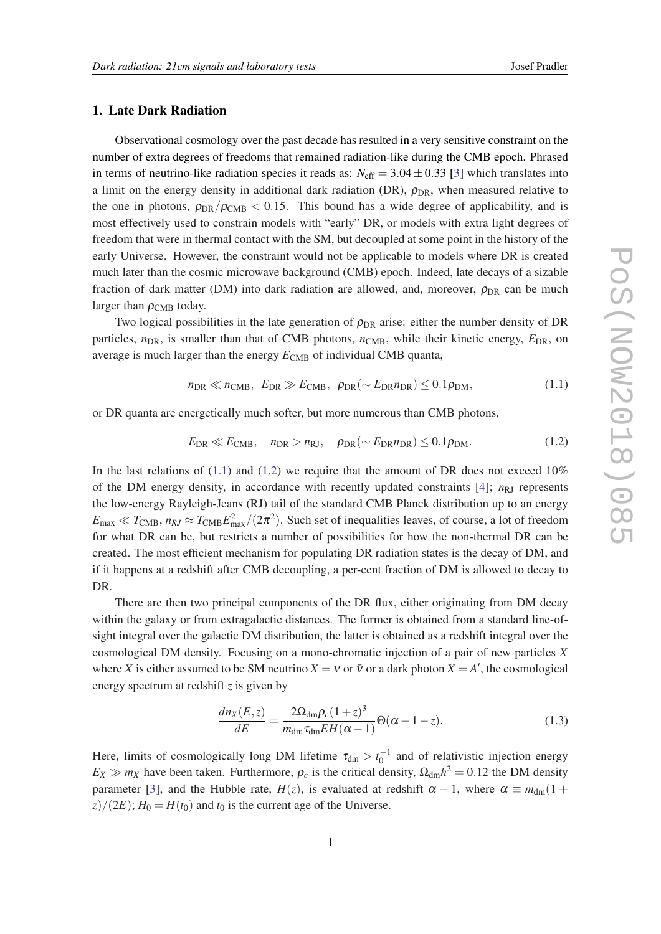### <span id="page-1-0"></span>1. Late Dark Radiation

Observational cosmology over the past decade has resulted in a very sensitive constraint on the number of extra degrees of freedoms that remained radiation-like during the CMB epoch. Phrased in terms of neutrino-like radiation species it reads as:  $N_{\text{eff}} = 3.04 \pm 0.33$  $N_{\text{eff}} = 3.04 \pm 0.33$  $N_{\text{eff}} = 3.04 \pm 0.33$  [3] which translates into a limit on the energy density in additional dark radiation (DR),  $\rho_{DR}$ , when measured relative to the one in photons,  $\rho_{DR}/\rho_{CMB} < 0.15$ . This bound has a wide degree of applicability, and is most effectively used to constrain models with "early" DR, or models with extra light degrees of freedom that were in thermal contact with the SM, but decoupled at some point in the history of the early Universe. However, the constraint would not be applicable to models where DR is created much later than the cosmic microwave background (CMB) epoch. Indeed, late decays of a sizable fraction of dark matter (DM) into dark radiation are allowed, and, moreover,  $\rho_{DR}$  can be much larger than  $\rho_{\rm CMB}$  today.

Two logical possibilities in the late generation of  $\rho_{DR}$  arise: either the number density of DR particles,  $n_{DR}$ , is smaller than that of CMB photons,  $n_{CMB}$ , while their kinetic energy,  $E_{DR}$ , on average is much larger than the energy  $E_{\text{CMB}}$  of individual CMB quanta,

$$
n_{\rm DR} \ll n_{\rm CMB}, \ E_{\rm DR} \gg E_{\rm CMB}, \ \rho_{\rm DR} (\sim E_{\rm DR} n_{\rm DR}) \le 0.1 \rho_{\rm DM}, \tag{1.1}
$$

or DR quanta are energetically much softer, but more numerous than CMB photons,

$$
E_{\text{DR}} \ll E_{\text{CMB}}, \quad n_{\text{DR}} > n_{\text{RJ}}, \quad \rho_{\text{DR}} (\sim E_{\text{DR}} n_{\text{DR}}) \leq 0.1 \rho_{\text{DM}}.
$$
 (1.2)

In the last relations of  $(1.1)$  and  $(1.2)$  we require that the amount of DR does not exceed 10% of the DM energy density, in accordance with recently updated constraints  $[4]$  $[4]$  $[4]$ ;  $n_{\text{RJ}}$  represents the low-energy Rayleigh-Jeans (RJ) tail of the standard CMB Planck distribution up to an energy  $E_{\text{max}} \ll T_{\text{CMB}}$ ,  $n_{RI} \approx T_{\text{CMB}} E_{\text{max}}^2/(2\pi^2)$ . Such set of inequalities leaves, of course, a lot of freedom for what DR can be, but restricts a number of possibilities for how the non-thermal DR can be created. The most efficient mechanism for populating DR radiation states is the decay of DM, and if it happens at a redshift after CMB decoupling, a per-cent fraction of DM is allowed to decay to DR.

There are then two principal components of the DR flux, either originating from DM decay within the galaxy or from extragalactic distances. The former is obtained from a standard line-ofsight integral over the galactic DM distribution, the latter is obtained as a redshift integral over the cosmological DM density. Focusing on a mono-chromatic injection of a pair of new particles *X* where *X* is either assumed to be SM neutrino  $X = v$  or  $\bar{v}$  or a dark photon  $X = A'$ , the cosmological energy spectrum at redshift *z* is given by

$$
\frac{dn_X(E,z)}{dE} = \frac{2\Omega_{\rm dm}\rho_c(1+z)^3}{m_{\rm dm}\tau_{\rm dm}EH(\alpha-1)}\Theta(\alpha-1-z). \tag{1.3}
$$

Here, limits of cosmologically long DM lifetime  $\tau_{dm} > t_0^{-1}$  and of relativistic injection energy  $E_X \gg m_X$  have been taken. Furthermore,  $\rho_c$  is the critical density,  $\Omega_{dm} h^2 = 0.12$  the DM density parameter [[3](#page-3-0)], and the Hubble rate,  $H(z)$ , is evaluated at redshift  $\alpha - 1$ , where  $\alpha \equiv m_{\text{dm}}(1 +$  $\frac{z}{2\pi}$   $\frac{z}{2E}$ ;  $H_0 = H(t_0)$  and  $t_0$  is the current age of the Universe.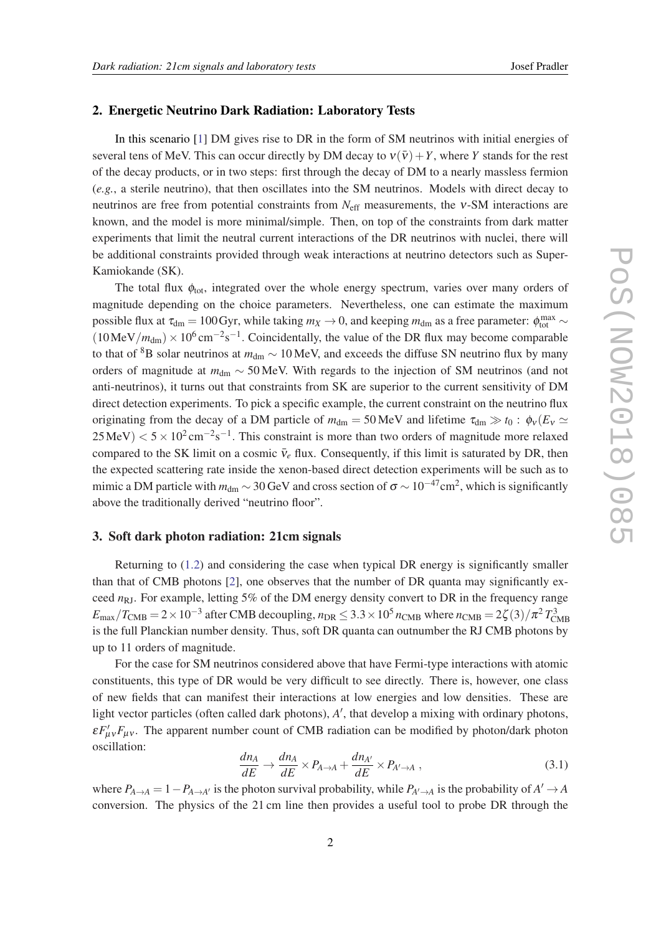#### 2. Energetic Neutrino Dark Radiation: Laboratory Tests

In this scenario [[1](#page-3-0)] DM gives rise to DR in the form of SM neutrinos with initial energies of several tens of MeV. This can occur directly by DM decay to  $v(\bar{v}) + Y$ , where *Y* stands for the rest of the decay products, or in two steps: first through the decay of DM to a nearly massless fermion (*e.g.*, a sterile neutrino), that then oscillates into the SM neutrinos. Models with direct decay to neutrinos are free from potential constraints from *N*eff measurements, the ν-SM interactions are known, and the model is more minimal/simple. Then, on top of the constraints from dark matter experiments that limit the neutral current interactions of the DR neutrinos with nuclei, there will be additional constraints provided through weak interactions at neutrino detectors such as Super-Kamiokande (SK).

The total flux  $\phi_{\text{tot}}$ , integrated over the whole energy spectrum, varies over many orders of magnitude depending on the choice parameters. Nevertheless, one can estimate the maximum possible flux at  $\tau_{dm} = 100 \text{Gyr}$ , while taking  $m_X \to 0$ , and keeping  $m_{dm}$  as a free parameter:  $\phi_{tot}^{max} \sim$  $(10 \text{MeV}/m_{\text{dm}}) \times 10^6 \text{ cm}^{-2} \text{s}^{-1}$ . Coincidentally, the value of the DR flux may become comparable to that of <sup>8</sup>B solar neutrinos at  $m_{dm} \sim 10$  MeV, and exceeds the diffuse SN neutrino flux by many orders of magnitude at  $m_{\text{dm}} \sim 50$  MeV. With regards to the injection of SM neutrinos (and not anti-neutrinos), it turns out that constraints from SK are superior to the current sensitivity of DM direct detection experiments. To pick a specific example, the current constraint on the neutrino flux originating from the decay of a DM particle of  $m_{dm} = 50 \text{ MeV}$  and lifetime  $\tau_{dm} \gg t_0 : \phi_v(E_v \simeq$  $25 \text{MeV}$ )  $< 5 \times 10^{2} \text{ cm}^{-2} \text{s}^{-1}$ . This constraint is more than two orders of magnitude more relaxed compared to the SK limit on a cosmic  $\bar{v}_e$  flux. Consequently, if this limit is saturated by DR, then the expected scattering rate inside the xenon-based direct detection experiments will be such as to mimic a DM particle with  $m_{\text{dm}} \sim 30$  GeV and cross section of  $\sigma \sim 10^{-47} \text{cm}^2$ , which is significantly above the traditionally derived "neutrino floor".

#### 3. Soft dark photon radiation: 21cm signals

Returning to [\(1.2](#page-1-0)) and considering the case when typical DR energy is significantly smaller than that of CMB photons [[2](#page-3-0)], one observes that the number of DR quanta may significantly exceed *n*<sub>RJ</sub>. For example, letting 5% of the DM energy density convert to DR in the frequency range  $E_{\text{max}}/T_{\text{CMB}} = 2 \times 10^{-3}$  after CMB decoupling,  $n_{\text{DR}} \leq 3.3 \times 10^5 n_{\text{CMB}}$  where  $n_{\text{CMB}} = 2\zeta(3)/\pi^2 T_{\text{CMB}}^3$ is the full Planckian number density. Thus, soft DR quanta can outnumber the RJ CMB photons by up to 11 orders of magnitude.

For the case for SM neutrinos considered above that have Fermi-type interactions with atomic constituents, this type of DR would be very difficult to see directly. There is, however, one class of new fields that can manifest their interactions at low energies and low densities. These are light vector particles (often called dark photons), A', that develop a mixing with ordinary photons,  $\epsilon F'_{\mu\nu}F_{\mu\nu}$ . The apparent number count of CMB radiation can be modified by photon/dark photon oscillation:

$$
\frac{dn_A}{dE} \to \frac{dn_A}{dE} \times P_{A \to A} + \frac{dn_{A'}}{dE} \times P_{A' \to A} ,
$$
\n(3.1)

where  $P_{A\to A} = 1 - P_{A\to A'}$  is the photon survival probability, while  $P_{A'\to A}$  is the probability of  $A'\to A$ conversion. The physics of the 21 cm line then provides a useful tool to probe DR through the